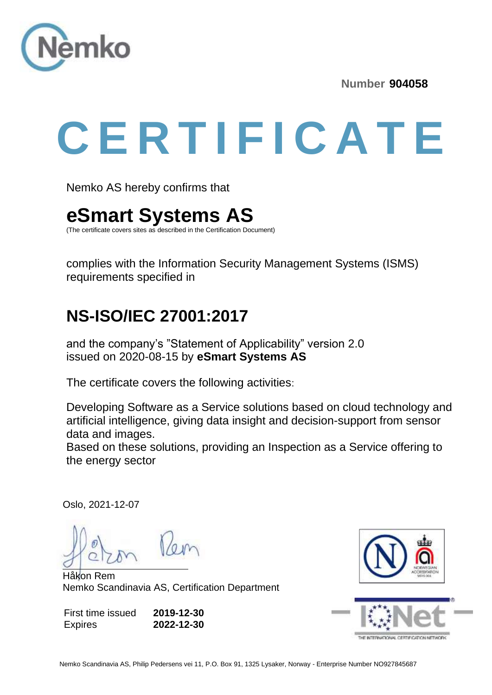

**Number 904058**

# **C E R T I F I C A T E**

Nemko AS hereby confirms that

## **eSmart Systems AS**

(The certificate covers sites as described in the Certification Document)

complies with the Information Security Management Systems (ISMS) requirements specified in

#### **NS-ISO/IEC 27001:2017**

and the company's "Statement of Applicability" version 2.0 issued on 2020-08-15 by **eSmart Systems AS**

The certificate covers the following activities:

Developing Software as a Service solutions based on cloud technology and artificial intelligence, giving data insight and decision-support from sensor data and images.

Based on these solutions, providing an Inspection as a Service offering to the energy sector

Oslo, 2021-12-07

Håkon Rem Nemko Scandinavia AS, Certification Department

First time issued Expires **2019-12-30 2022-12-30**



THE INTERNATIONAL CERTIFICATION NETWO

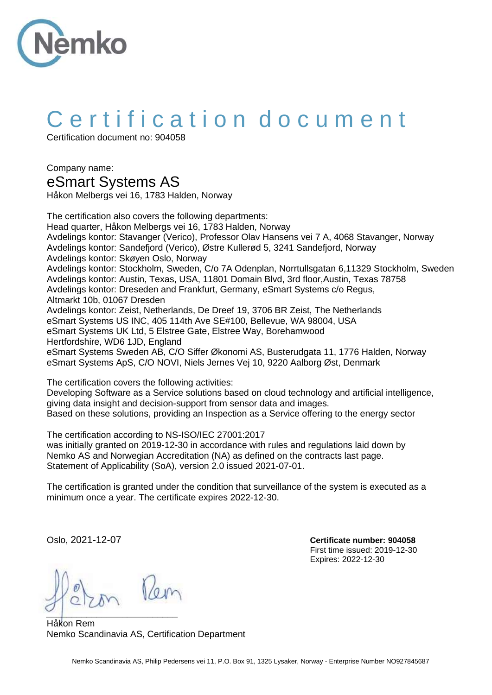

## C ertification document

Certification document no: 904058

Company name: eSmart Systems AS

Håkon Melbergs vei 16, 1783 Halden, Norway

The certification also covers the following departments: Head quarter, Håkon Melbergs vei 16, 1783 Halden, Norway Avdelings kontor: Stavanger (Verico), Professor Olav Hansens vei 7 A, 4068 Stavanger, Norway Avdelings kontor: Sandefjord (Verico), Østre Kullerød 5, 3241 Sandefjord, Norway Avdelings kontor: Skøyen Oslo, Norway Avdelings kontor: Stockholm, Sweden, C/o 7A Odenplan, Norrtullsgatan 6,11329 Stockholm, Sweden Avdelings kontor: Austin, Texas, USA, 11801 Domain Blvd, 3rd floor,Austin, Texas 78758 Avdelings kontor: Dreseden and Frankfurt, Germany, eSmart Systems c/o Regus, Altmarkt 10b, 01067 Dresden Avdelings kontor: Zeist, Netherlands, De Dreef 19, 3706 BR Zeist, The Netherlands eSmart Systems US INC, 405 114th Ave SE#100, Bellevue, WA 98004, USA eSmart Systems UK Ltd, 5 Elstree Gate, Elstree Way, Borehamwood Hertfordshire, WD6 1JD, England eSmart Systems Sweden AB, C/O Siffer Økonomi AS, Busterudgata 11, 1776 Halden, Norway eSmart Systems ApS, C/O NOVI, Niels Jernes Vej 10, 9220 Aalborg Øst, Denmark

The certification covers the following activities:

Developing Software as a Service solutions based on cloud technology and artificial intelligence, giving data insight and decision-support from sensor data and images. Based on these solutions, providing an Inspection as a Service offering to the energy sector

The certification according to NS-ISO/IEC 27001:2017 was initially granted on 2019-12-30 in accordance with rules and regulations laid down by Nemko AS and Norwegian Accreditation (NA) as defined on the contracts last page. Statement of Applicability (SoA), version 2.0 issued 2021-07-01.

The certification is granted under the condition that surveillance of the system is executed as a minimum once a year. The certificate expires 2022-12-30.

*\_\_\_\_\_\_\_\_\_\_\_\_\_\_\_\_\_\_\_\_\_\_\_\_\_\_*

Håkon Rem Nemko Scandinavia AS, Certification Department

Oslo, 2021-12-07 **Certificate number: 904058** First time issued: 2019-12-30 Expires: 2022-12-30